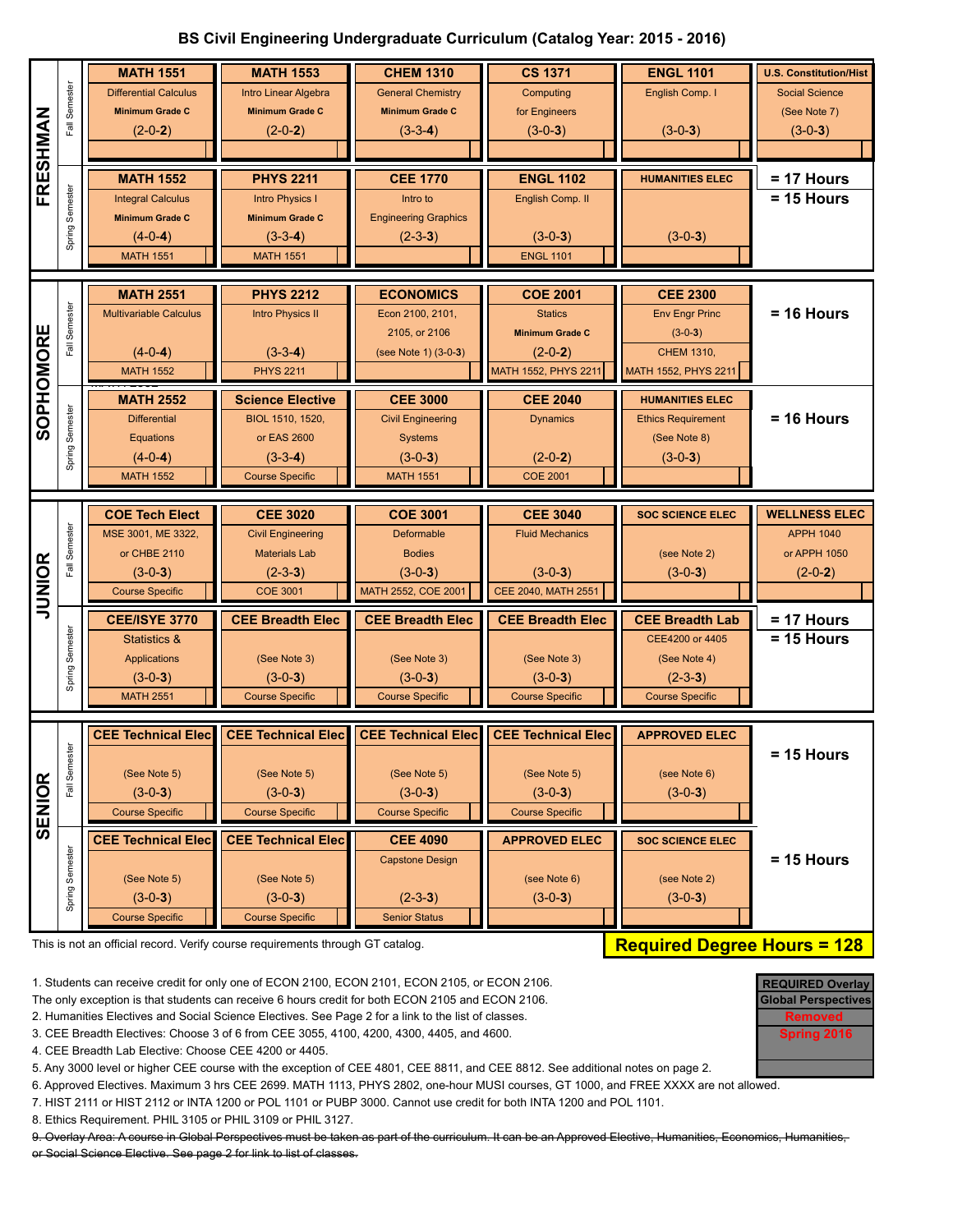## **BS Civil Engineering Undergraduate Curriculum (Catalog Year: 2015 - 2016)**

|               |                 | <b>MATH 1551</b>                 | <b>MATH 1553</b>              | <b>CHEM 1310</b>            | <b>CS 1371</b>                    | <b>ENGL 1101</b>                | <b>U.S. Constitution/Hist</b> |
|---------------|-----------------|----------------------------------|-------------------------------|-----------------------------|-----------------------------------|---------------------------------|-------------------------------|
|               | Semester        | <b>Differential Calculus</b>     | Intro Linear Algebra          | <b>General Chemistry</b>    | Computing                         | English Comp. I                 | <b>Social Science</b>         |
|               |                 | <b>Minimum Grade C</b>           | <b>Minimum Grade C</b>        | <b>Minimum Grade C</b>      | for Engineers                     |                                 | (See Note 7)                  |
|               | Fall            | $(2-0-2)$                        | $(2-0-2)$                     | $(3-3-4)$                   | $(3-0-3)$                         | $(3-0-3)$                       | $(3-0-3)$                     |
|               |                 |                                  |                               |                             |                                   |                                 |                               |
| FRESHMAN      | Semester        | <b>MATH 1552</b>                 | <b>PHYS 2211</b>              | <b>CEE 1770</b>             | <b>ENGL 1102</b>                  | <b>HUMANITIES ELEC</b>          | = 17 Hours                    |
|               |                 | <b>Integral Calculus</b>         | <b>Intro Physics I</b>        | Intro to                    | English Comp. II                  |                                 | $= 15$ Hours                  |
|               |                 | <b>Minimum Grade C</b>           | <b>Minimum Grade C</b>        | <b>Engineering Graphics</b> |                                   |                                 |                               |
|               | Spring:         | $(4-0-4)$                        | $(3-3-4)$                     | $(2-3-3)$                   | $(3-0-3)$                         | $(3-0-3)$                       |                               |
|               |                 | <b>MATH 1551</b>                 | <b>MATH 1551</b>              |                             | <b>ENGL 1101</b>                  |                                 |                               |
|               |                 |                                  |                               |                             |                                   |                                 |                               |
|               |                 | <b>MATH 2551</b>                 | <b>PHYS 2212</b>              | <b>ECONOMICS</b>            | <b>COE 2001</b>                   | <b>CEE 2300</b>                 |                               |
|               | Fall Semester   | <b>Multivariable Calculus</b>    | <b>Intro Physics II</b>       | Econ 2100, 2101,            | <b>Statics</b>                    | <b>Env Engr Princ</b>           | $= 16$ Hours                  |
|               |                 |                                  |                               | 2105, or 2106               | <b>Minimum Grade C</b>            | $(3-0-3)$                       |                               |
|               |                 | $(4-0-4)$<br><b>MATH 1552</b>    | $(3-3-4)$<br><b>PHYS 2211</b> | (see Note 1) (3-0-3)        | $(2-0-2)$<br>MATH 1552, PHYS 2211 | <b>CHEM 1310,</b>               |                               |
| SOPHOMORE     |                 |                                  |                               |                             |                                   | MATH 1552, PHYS 2211            |                               |
|               |                 | <b>MATH 2552</b>                 | <b>Science Elective</b>       | <b>CEE 3000</b>             | <b>CEE 2040</b>                   | <b>HUMANITIES ELEC</b>          |                               |
|               | Spring Semester | <b>Differential</b>              | BIOL 1510, 1520,              | <b>Civil Engineering</b>    | <b>Dynamics</b>                   | <b>Ethics Requirement</b>       | $= 16$ Hours                  |
|               |                 | Equations                        | or EAS 2600                   | <b>Systems</b>              |                                   | (See Note 8)                    |                               |
|               |                 | $(4-0-4)$                        | $(3-3-4)$                     | $(3-0-3)$                   | $(2-0-2)$                         | $(3-0-3)$                       |                               |
|               |                 | <b>MATH 1552</b>                 | <b>Course Specific</b>        | <b>MATH 1551</b>            | <b>COE 2001</b>                   |                                 |                               |
|               |                 | <b>COE Tech Elect</b>            | <b>CEE 3020</b>               | <b>COE 3001</b>             | <b>CEE 3040</b>                   | <b>SOC SCIENCE ELEC</b>         | <b>WELLNESS ELEC</b>          |
|               |                 | MSE 3001, ME 3322,               | <b>Civil Engineering</b>      | Deformable                  | <b>Fluid Mechanics</b>            |                                 | <b>APPH 1040</b>              |
|               | Fall Semester   | or CHBE 2110                     | <b>Materials Lab</b>          | <b>Bodies</b>               |                                   | (see Note 2)                    | or APPH 1050                  |
|               |                 | $(3-0-3)$                        | $(2-3-3)$                     | $(3-0-3)$                   | $(3-0-3)$                         | $(3-0-3)$                       | $(2-0-2)$                     |
| <b>JUNIOR</b> |                 |                                  |                               |                             |                                   |                                 |                               |
|               |                 | <b>Course Specific</b>           | <b>COE 3001</b>               | MATH 2552, COE 2001         | CEE 2040, MATH 2551               |                                 |                               |
|               |                 |                                  |                               |                             |                                   |                                 |                               |
|               |                 | <b>CEE/ISYE 3770</b>             | <b>CEE Breadth Elec</b>       | <b>CEE Breadth Elec</b>     | <b>CEE Breadth Elec</b>           | <b>CEE Breadth Lab</b>          | $= 17$ Hours                  |
|               |                 | <b>Statistics &amp;</b>          | (See Note 3)                  | (See Note 3)                | (See Note 3)                      | CEE4200 or 4405<br>(See Note 4) | $= 15$ Hours                  |
|               | Semester        | <b>Applications</b><br>$(3-0-3)$ | $(3-0-3)$                     | $(3-0-3)$                   | $(3-0-3)$                         | $(2-3-3)$                       |                               |
|               | Spring          | <b>MATH 2551</b>                 | <b>Course Specific</b>        | <b>Course Specific</b>      | <b>Course Specific</b>            | <b>Course Specific</b>          |                               |
|               |                 |                                  |                               |                             |                                   |                                 |                               |
|               |                 | <b>CEE Technical Elec</b>        | <b>CEE Technical Elec</b>     | <b>CEE Technical Elec</b>   | <b>CEE Technical Elec</b>         | <b>APPROVED ELEC</b>            |                               |
|               | ster            |                                  |                               |                             |                                   |                                 | $= 15$ Hours                  |
|               | Semes           | (See Note 5)                     | (See Note 5)                  | (See Note 5)                | (See Note 5)                      | (see Note 6)                    |                               |
|               |                 | $(3-0-3)$                        | $(3-0-3)$                     | $(3-0-3)$                   | $(3-0-3)$                         | $(3-0-3)$                       |                               |
|               |                 | <b>Course Specific</b>           | <b>Course Specific</b>        | <b>Course Specific</b>      | <b>Course Specific</b>            |                                 |                               |
| <b>SENIOR</b> |                 | <b>CEE Technical Elec</b>        | <b>CEE Technical Elec</b>     | <b>CEE 4090</b>             | <b>APPROVED ELEC</b>              | <b>SOC SCIENCE ELEC</b>         |                               |
|               |                 |                                  |                               | <b>Capstone Design</b>      |                                   |                                 | $= 15$ Hours                  |
|               |                 | (See Note 5)                     | (See Note 5)                  |                             | (see Note 6)                      | (see Note 2)                    |                               |
|               |                 | $(3-0-3)$                        | $(3-0-3)$                     | $(2-3-3)$                   | $(3-0-3)$                         | $(3-0-3)$                       |                               |
|               | Spring Semester | <b>Course Specific</b>           | <b>Course Specific</b>        | <b>Senior Status</b>        |                                   |                                 |                               |

1. Students can receive credit for only one of ECON 2100, ECON 2101, ECON 2105, or ECON 2106.

The only exception is that students can receive 6 hours credit for both ECON 2105 and ECON 2106.

2. Humanities Electives and Social Science Electives. See Page 2 for a link to the list of classes.

3. CEE Breadth Electives: Choose 3 of 6 from CEE 3055, 4100, 4200, 4300, 4405, and 4600.

4. CEE Breadth Lab Elective: Choose CEE 4200 or 4405.

5. Any 3000 level or higher CEE course with the exception of CEE 4801, CEE 8811, and CEE 8812. See additional notes on page 2.

6. Approved Electives. Maximum 3 hrs CEE 2699. MATH 1113, PHYS 2802, one-hour MUSI courses, GT 1000, and FREE XXXX are not allowed.

7. HIST 2111 or HIST 2112 or INTA 1200 or POL 1101 or PUBP 3000. Cannot use credit for both INTA 1200 and POL 1101.

8. Ethics Requirement. PHIL 3105 or PHIL 3109 or PHIL 3127.

9. Overlay Area: A course in Global Perspectives must be taken as part of the curriculum. It can be an Approved Elective, Humanities, Economics, Humanities, or Social Science Elective. See page 2 for link to list of classes.